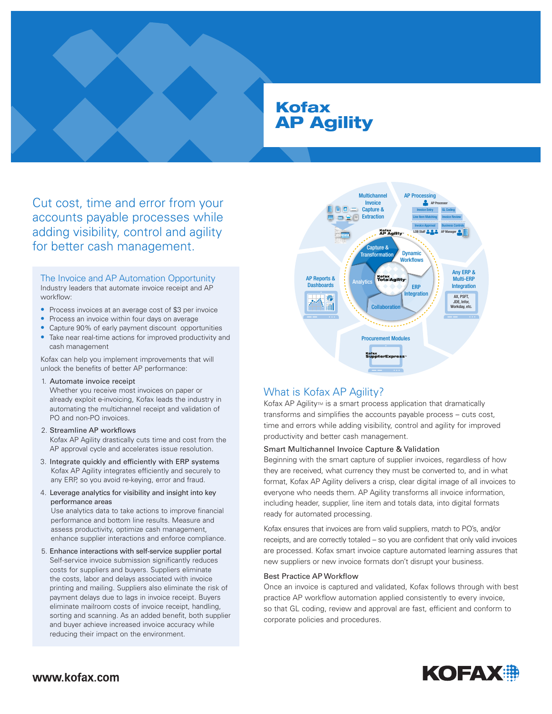# Kofax AP Agility

Cut cost, time and error from your accounts payable processes while adding visibility, control and agility for better cash management.

#### The Invoice and AP Automation Opportunity Industry leaders that automate invoice receipt and AP workflow:

- Process invoices at an average cost of \$3 per invoice
- Process an invoice within four days on average
- Capture 90% of early payment discount opportunities
- Take near real-time actions for improved productivity and cash management

Kofax can help you implement improvements that will unlock the benefits of better AP performance:

#### 1. Automate invoice receipt

Whether you receive most invoices on paper or already exploit e-invoicing, Kofax leads the industry in automating the multichannel receipt and validation of PO and non-PO invoices.

#### 2. Streamline AP workflows

Kofax AP Agility drastically cuts time and cost from the AP approval cycle and accelerates issue resolution.

- 3. Integrate quickly and efficiently with ERP systems Kofax AP Agility integrates efficiently and securely to any ERP, so you avoid re-keying, error and fraud.
- 4. Leverage analytics for visibility and insight into key performance areas

Use analytics data to take actions to improve financial performance and bottom line results. Measure and assess productivity, optimize cash management, enhance supplier interactions and enforce compliance.

5. Enhance interactions with self-service supplier portal Self-service invoice submission significantly reduces costs for suppliers and buyers. Suppliers eliminate the costs, labor and delays associated with invoice printing and mailing. Suppliers also eliminate the risk of payment delays due to lags in invoice receipt. Buyers eliminate mailroom costs of invoice receipt, handling, sorting and scanning. As an added benefit, both supplier and buyer achieve increased invoice accuracy while reducing their impact on the environment.



## What is Kofax AP Agility?

Kofax AP Agility $M$  is a smart process application that dramatically transforms and simplifies the accounts payable process – cuts cost, time and errors while adding visibility, control and agility for improved productivity and better cash management.

#### Smart Multichannel Invoice Capture & Validation

Beginning with the smart capture of supplier invoices, regardless of how they are received, what currency they must be converted to, and in what format, Kofax AP Agility delivers a crisp, clear digital image of all invoices to everyone who needs them. AP Agility transforms all invoice information, including header, supplier, line item and totals data, into digital formats ready for automated processing.

Kofax ensures that invoices are from valid suppliers, match to PO's, and/or receipts, and are correctly totaled – so you are confident that only valid invoices are processed. Kofax smart invoice capture automated learning assures that new suppliers or new invoice formats don't disrupt your business.

#### Best Practice AP Workflow

Once an invoice is captured and validated, Kofax follows through with best practice AP workflow automation applied consistently to every invoice, so that GL coding, review and approval are fast, efficient and conform to corporate policies and procedures.